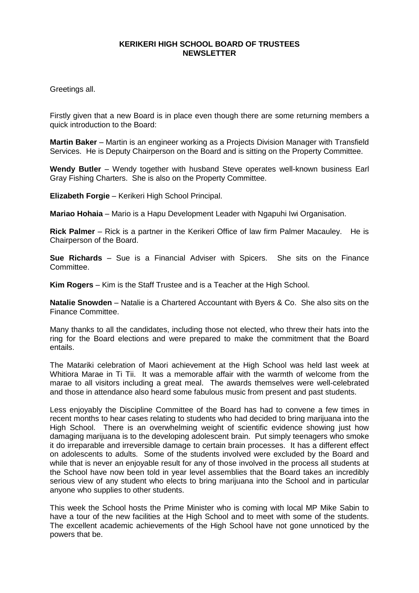## **KERIKERI HIGH SCHOOL BOARD OF TRUSTEES NEWSLETTER**

Greetings all.

Firstly given that a new Board is in place even though there are some returning members a quick introduction to the Board:

**Martin Baker** – Martin is an engineer working as a Projects Division Manager with Transfield Services. He is Deputy Chairperson on the Board and is sitting on the Property Committee.

**Wendy Butler** – Wendy together with husband Steve operates well-known business Earl Gray Fishing Charters. She is also on the Property Committee.

**Elizabeth Forgie** – Kerikeri High School Principal.

**Mariao Hohaia** – Mario is a Hapu Development Leader with Ngapuhi Iwi Organisation.

**Rick Palmer** – Rick is a partner in the Kerikeri Office of law firm Palmer Macauley. He is Chairperson of the Board.

**Sue Richards** – Sue is a Financial Adviser with Spicers. She sits on the Finance Committee.

**Kim Rogers** – Kim is the Staff Trustee and is a Teacher at the High School.

**Natalie Snowden** – Natalie is a Chartered Accountant with Byers & Co. She also sits on the Finance Committee.

Many thanks to all the candidates, including those not elected, who threw their hats into the ring for the Board elections and were prepared to make the commitment that the Board entails.

The Matariki celebration of Maori achievement at the High School was held last week at Whitiora Marae in Ti Tii. It was a memorable affair with the warmth of welcome from the marae to all visitors including a great meal. The awards themselves were well-celebrated and those in attendance also heard some fabulous music from present and past students.

Less enjoyably the Discipline Committee of the Board has had to convene a few times in recent months to hear cases relating to students who had decided to bring marijuana into the High School. There is an overwhelming weight of scientific evidence showing just how damaging marijuana is to the developing adolescent brain. Put simply teenagers who smoke it do irreparable and irreversible damage to certain brain processes. It has a different effect on adolescents to adults. Some of the students involved were excluded by the Board and while that is never an enjoyable result for any of those involved in the process all students at the School have now been told in year level assemblies that the Board takes an incredibly serious view of any student who elects to bring marijuana into the School and in particular anyone who supplies to other students.

This week the School hosts the Prime Minister who is coming with local MP Mike Sabin to have a tour of the new facilities at the High School and to meet with some of the students. The excellent academic achievements of the High School have not gone unnoticed by the powers that be.